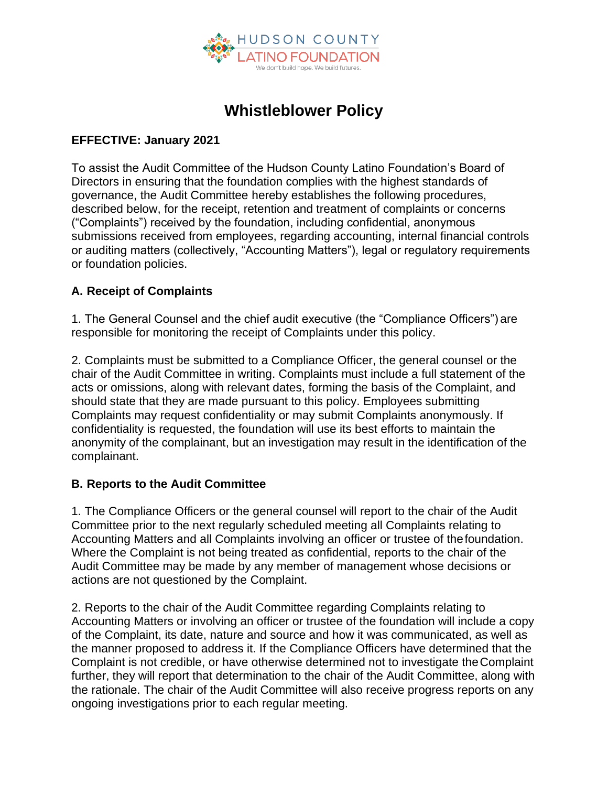

# **Whistleblower Policy**

#### **EFFECTIVE: January 2021**

To assist the Audit Committee of the Hudson County Latino Foundation's Board of Directors in ensuring that the foundation complies with the highest standards of governance, the Audit Committee hereby establishes the following procedures, described below, for the receipt, retention and treatment of complaints or concerns ("Complaints") received by the foundation, including confidential, anonymous submissions received from employees, regarding accounting, internal financial controls or auditing matters (collectively, "Accounting Matters"), legal or regulatory requirements or foundation policies.

### **A. Receipt of Complaints**

1. The General Counsel and the chief audit executive (the "Compliance Officers") are responsible for monitoring the receipt of Complaints under this policy.

2. Complaints must be submitted to a Compliance Officer, the general counsel or the chair of the Audit Committee in writing. Complaints must include a full statement of the acts or omissions, along with relevant dates, forming the basis of the Complaint, and should state that they are made pursuant to this policy. Employees submitting Complaints may request confidentiality or may submit Complaints anonymously. If confidentiality is requested, the foundation will use its best efforts to maintain the anonymity of the complainant, but an investigation may result in the identification of the complainant.

### **B. Reports to the Audit Committee**

1. The Compliance Officers or the general counsel will report to the chair of the Audit Committee prior to the next regularly scheduled meeting all Complaints relating to Accounting Matters and all Complaints involving an officer or trustee of thefoundation. Where the Complaint is not being treated as confidential, reports to the chair of the Audit Committee may be made by any member of management whose decisions or actions are not questioned by the Complaint.

2. Reports to the chair of the Audit Committee regarding Complaints relating to Accounting Matters or involving an officer or trustee of the foundation will include a copy of the Complaint, its date, nature and source and how it was communicated, as well as the manner proposed to address it. If the Compliance Officers have determined that the Complaint is not credible, or have otherwise determined not to investigate theComplaint further, they will report that determination to the chair of the Audit Committee, along with the rationale. The chair of the Audit Committee will also receive progress reports on any ongoing investigations prior to each regular meeting.